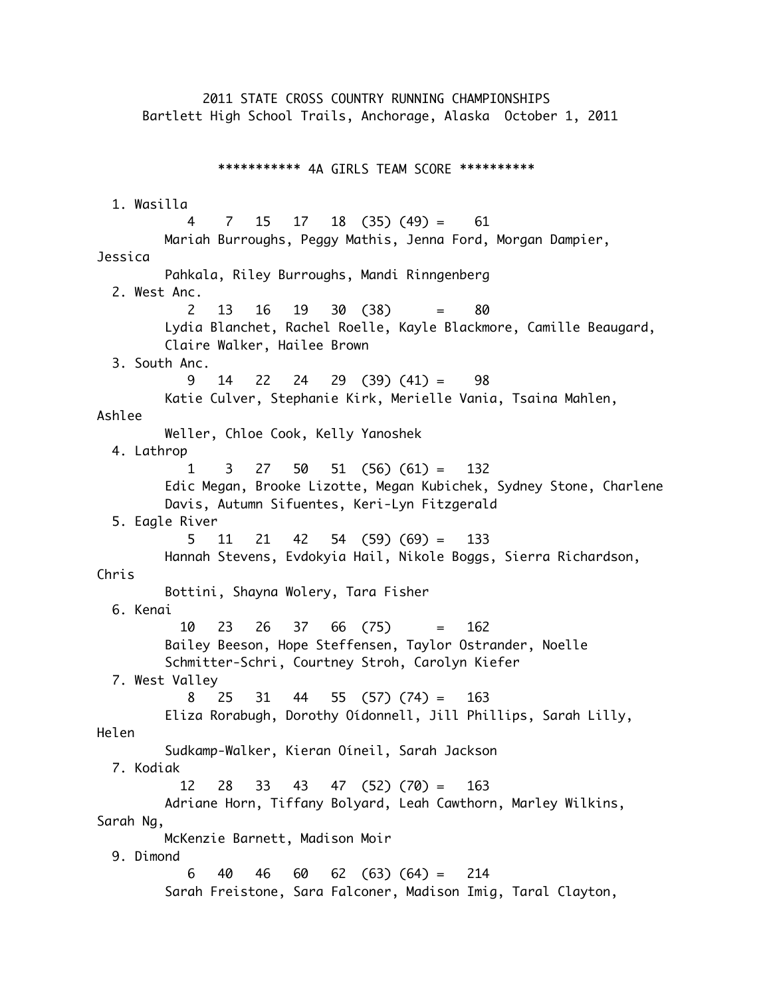2011 STATE CROSS COUNTRY RUNNING CHAMPIONSHIPS Bartlett High School Trails, Anchorage, Alaska October 1, 2011 \*\*\*\*\*\*\*\*\*\*\* 4A GIRLS TEAM SCORE \*\*\*\*\*\*\*\*\*\* 1. Wasilla 4 7 15 17 18 (35) (49) = 61 Mariah Burroughs, Peggy Mathis, Jenna Ford, Morgan Dampier, Jessica Pahkala, Riley Burroughs, Mandi Rinngenberg 2. West Anc. 2 13 16 19 30 (38) = 80 Lydia Blanchet, Rachel Roelle, Kayle Blackmore, Camille Beaugard, Claire Walker, Hailee Brown 3. South Anc. 9 14 22 24 29 (39) (41) = 98 Katie Culver, Stephanie Kirk, Merielle Vania, Tsaina Mahlen, Ashlee Weller, Chloe Cook, Kelly Yanoshek 4. Lathrop 1 3 27 50 51 (56) (61) = 132 Edic Megan, Brooke Lizotte, Megan Kubichek, Sydney Stone, Charlene Davis, Autumn Sifuentes, Keri-Lyn Fitzgerald 5. Eagle River 5 11 21 42 54 (59) (69) = 133 Hannah Stevens, Evdokyia Hail, Nikole Boggs, Sierra Richardson, Chris Bottini, Shayna Wolery, Tara Fisher 6. Kenai 10 23 26 37 66 (75) = 162 Bailey Beeson, Hope Steffensen, Taylor Ostrander, Noelle Schmitter-Schri, Courtney Stroh, Carolyn Kiefer 7. West Valley 8 25 31 44 55 (57) (74) = 163 Eliza Rorabugh, Dorothy Oídonnell, Jill Phillips, Sarah Lilly, Helen Sudkamp-Walker, Kieran Oíneil, Sarah Jackson 7. Kodiak 12 28 33 43 47 (52) (70) = 163 Adriane Horn, Tiffany Bolyard, Leah Cawthorn, Marley Wilkins, Sarah Ng, McKenzie Barnett, Madison Moir 9. Dimond 6 40 46 60 62 (63) (64) = 214 Sarah Freistone, Sara Falconer, Madison Imig, Taral Clayton,